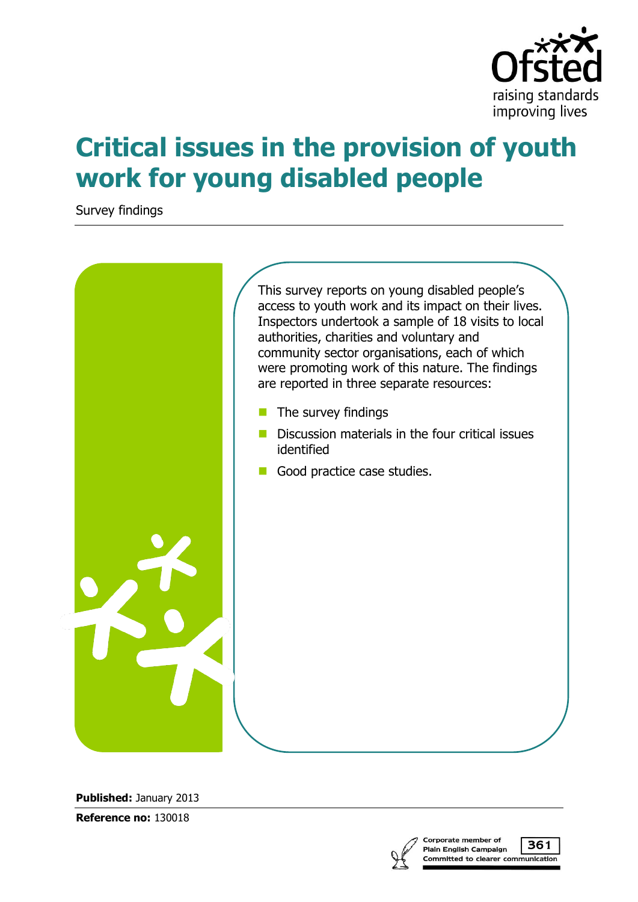

# **Critical issues in the provision of youth work for young disabled people**

Survey findings





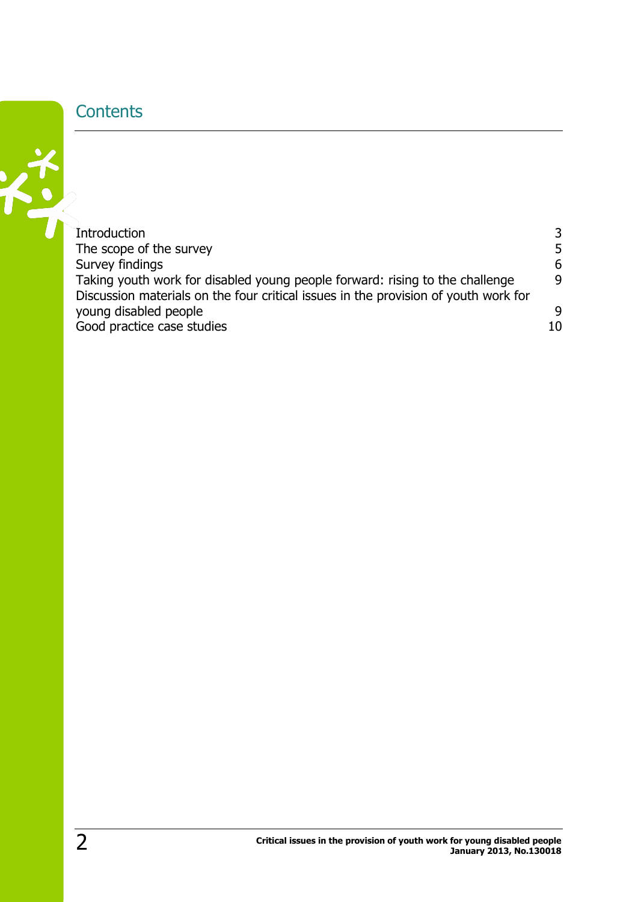# **Contents**



| 3  |
|----|
| 5  |
| 6  |
| 9  |
|    |
| q  |
| 10 |
|    |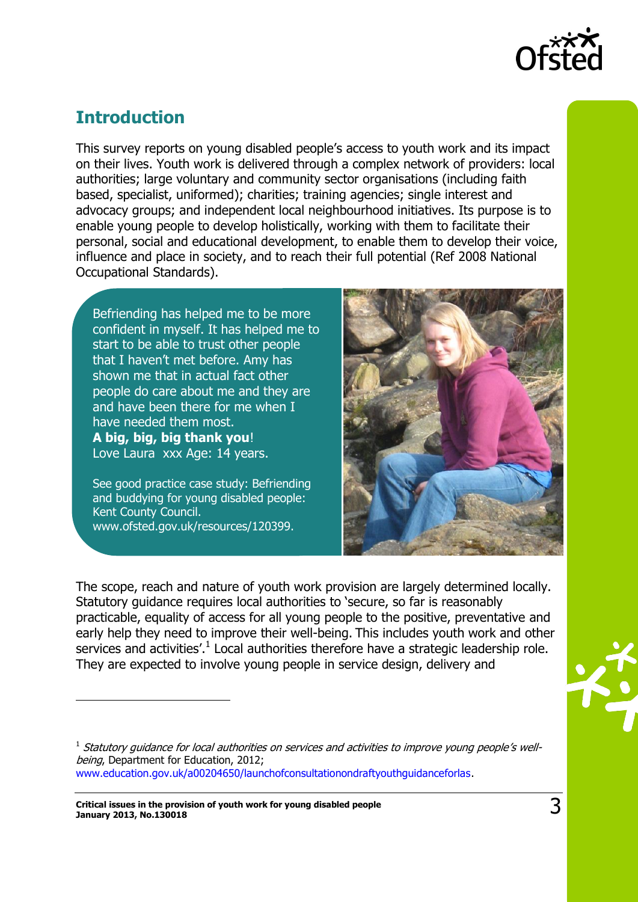

#### <span id="page-2-0"></span>**Introduction**

This survey reports on young disabled people's access to youth work and its impact on their lives. Youth work is delivered through a complex network of providers: local authorities; large voluntary and community sector organisations (including faith based, specialist, uniformed); charities; training agencies; single interest and advocacy groups; and independent local neighbourhood initiatives. Its purpose is to enable young people to develop holistically, working with them to facilitate their personal, social and educational development, to enable them to develop their voice, influence and place in society, and to reach their full potential (Ref 2008 National Occupational Standards).

Befriending has helped me to be more confident in myself. It has helped me to start to be able to trust other people that I haven't met before. Amy has shown me that in actual fact other people do care about me and they are and have been there for me when I have needed them most. **A big, big, big thank you**!

Love Laura xxx Age: 14 years.

j

See good practice case study: Befriending and buddying for young disabled people: Kent County Council. www.ofsted.gov.uk/resources/120399.



The scope, reach and nature of youth work provision are largely determined locally. Statutory guidance requires local authorities to 'secure, so far is reasonably practicable, equality of access for all young people to the positive, preventative and early help they need to improve their well-being. This includes youth work and other services and activities'. $1$  Local authorities therefore have a strategic leadership role. They are expected to involve young people in service design, delivery and



 $^{\rm 1}$  Statutory guidance for local authorities on services and activities to improve young people's wellbeing, Department for Education, 2012; [www.education.gov.uk/a00204650/launchofconsultationondraftyouthguidanceforlas.](http://www.education.gov.uk/a00204650/launchofconsultationondraftyouthguidanceforlas)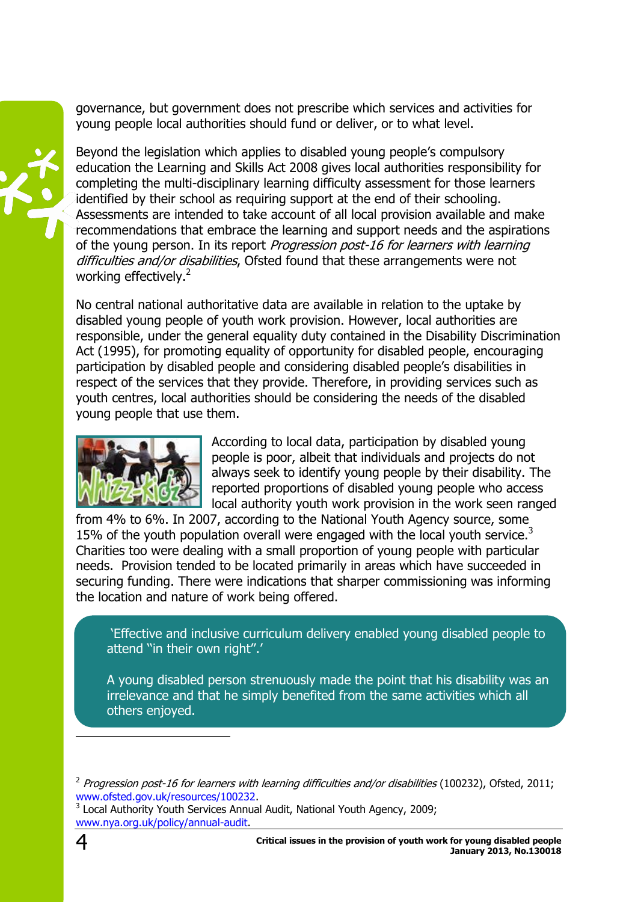governance, but government does not prescribe which services and activities for young people local authorities should fund or deliver, or to what level.

Beyond the legislation which applies to disabled young people's compulsory education the Learning and Skills Act 2008 gives local authorities responsibility for completing the multi-disciplinary learning difficulty assessment for those learners identified by their school as requiring support at the end of their schooling. Assessments are intended to take account of all local provision available and make recommendations that embrace the learning and support needs and the aspirations of the young person. In its report *Progression post-16 for learners with learning* difficulties and/or disabilities, Ofsted found that these arrangements were not working effectively.<sup>2</sup>

No central national authoritative data are available in relation to the uptake by disabled young people of youth work provision. However, local authorities are responsible, under the general equality duty contained in the Disability Discrimination Act (1995), for promoting equality of opportunity for disabled people, encouraging participation by disabled people and considering disabled people's disabilities in respect of the services that they provide. Therefore, in providing services such as youth centres, local authorities should be considering the needs of the disabled young people that use them.



According to local data, participation by disabled young people is poor, albeit that individuals and projects do not always seek to identify young people by their disability. The reported proportions of disabled young people who access local authority youth work provision in the work seen ranged

from 4% to 6%. In 2007, according to the National Youth Agency source, some 15% of the youth population overall were engaged with the local youth service.<sup>3</sup> Charities too were dealing with a small proportion of young people with particular needs. Provision tended to be located primarily in areas which have succeeded in securing funding. There were indications that sharper commissioning was informing the location and nature of work being offered.

'Effective and inclusive curriculum delivery enabled young disabled people to attend "in their own right".'

A young disabled person strenuously made the point that his disability was an irrelevance and that he simply benefited from the same activities which all others enjoyed.

 $^2$  Progression post-16 for learners with learning difficulties and/or disabilities (100232), Ofsted, 2011; [www.ofsted.gov.uk/resources/100232.](http://www.ofsted.gov.uk/resources/100232)

<sup>3</sup> Local Authority Youth Services Annual Audit, National Youth Agency, 2009; [www.nya.org.uk/policy/annual-audit.](http://www.nya.org.uk/policy/annual-audit)

j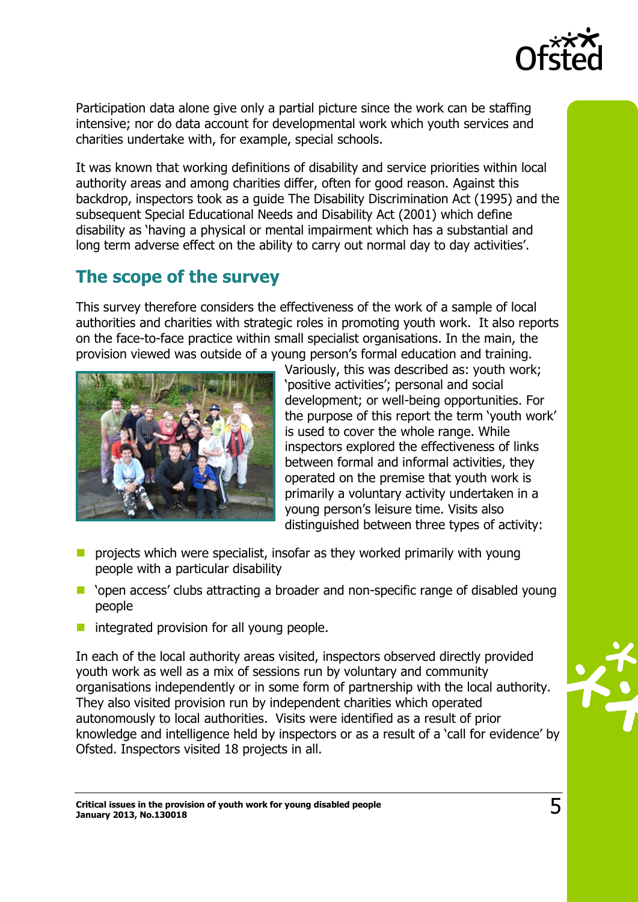

Participation data alone give only a partial picture since the work can be staffing intensive; nor do data account for developmental work which youth services and charities undertake with, for example, special schools.

It was known that working definitions of disability and service priorities within local authority areas and among charities differ, often for good reason. Against this backdrop, inspectors took as a guide The Disability Discrimination Act (1995) and the subsequent Special Educational Needs and Disability Act (2001) which define disability as 'having a physical or mental impairment which has a substantial and long term adverse effect on the ability to carry out normal day to day activities'.

#### <span id="page-4-0"></span>**The scope of the survey**

This survey therefore considers the effectiveness of the work of a sample of local authorities and charities with strategic roles in promoting youth work. It also reports on the face-to-face practice within small specialist organisations. In the main, the provision viewed was outside of a young person's formal education and training.



Variously, this was described as: youth work; 'positive activities'; personal and social development; or well-being opportunities. For the purpose of this report the term 'youth work' is used to cover the whole range. While inspectors explored the effectiveness of links between formal and informal activities, they operated on the premise that youth work is primarily a voluntary activity undertaken in a young person's leisure time. Visits also distinguished between three types of activity:

- **P** projects which were specialist, insofar as they worked primarily with young people with a particular disability
- 'open access' clubs attracting a broader and non-specific range of disabled young people
- **integrated provision for all young people.**

In each of the local authority areas visited, inspectors observed directly provided youth work as well as a mix of sessions run by voluntary and community organisations independently or in some form of partnership with the local authority. They also visited provision run by independent charities which operated autonomously to local authorities. Visits were identified as a result of prior knowledge and intelligence held by inspectors or as a result of a 'call for evidence' by Ofsted. Inspectors visited 18 projects in all.

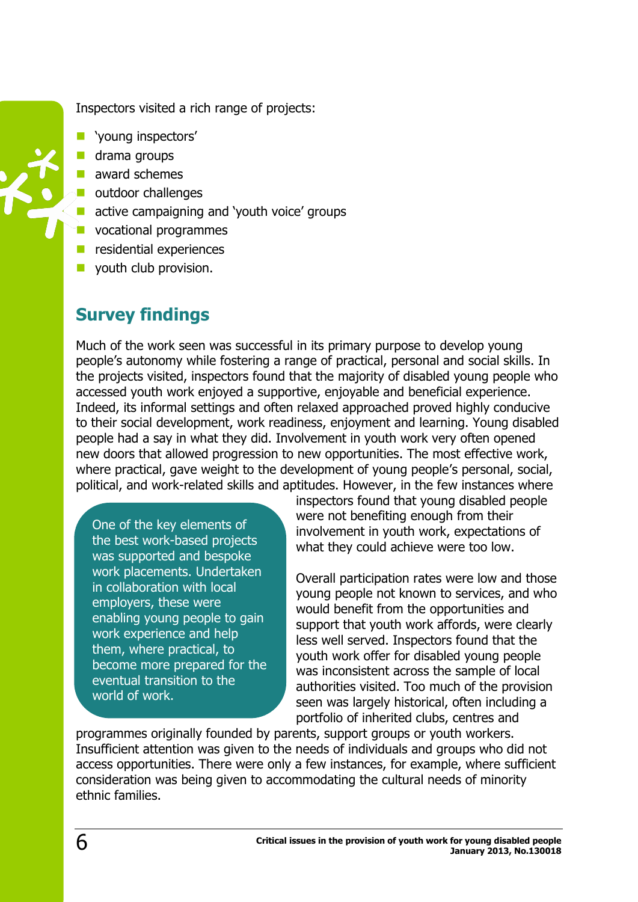Inspectors visited a rich range of projects:

- 'young inspectors'
- **drama groups**
- $\blacksquare$  award schemes
- **u** outdoor challenges
- active campaigning and 'youth voice' groups
- **vocational programmes**
- **P** residential experiences
- **v** youth club provision.

### <span id="page-5-0"></span>**Survey findings**

Much of the work seen was successful in its primary purpose to develop young people's autonomy while fostering a range of practical, personal and social skills. In the projects visited, inspectors found that the majority of disabled young people who accessed youth work enjoyed a supportive, enjoyable and beneficial experience. Indeed, its informal settings and often relaxed approached proved highly conducive to their social development, work readiness, enjoyment and learning. Young disabled people had a say in what they did. Involvement in youth work very often opened new doors that allowed progression to new opportunities. The most effective work, where practical, gave weight to the development of young people's personal, social, political, and work-related skills and aptitudes. However, in the few instances where

One of the key elements of the best work-based projects was supported and bespoke work placements. Undertaken in collaboration with local employers, these were enabling young people to gain work experience and help them, where practical, to become more prepared for the eventual transition to the world of work.

inspectors found that young disabled people were not benefiting enough from their involvement in youth work, expectations of what they could achieve were too low.

Overall participation rates were low and those young people not known to services, and who would benefit from the opportunities and support that youth work affords, were clearly less well served. Inspectors found that the youth work offer for disabled young people was inconsistent across the sample of local authorities visited. Too much of the provision seen was largely historical, often including a portfolio of inherited clubs, centres and

programmes originally founded by parents, support groups or youth workers. Insufficient attention was given to the needs of individuals and groups who did not access opportunities. There were only a few instances, for example, where sufficient consideration was being given to accommodating the cultural needs of minority ethnic families.

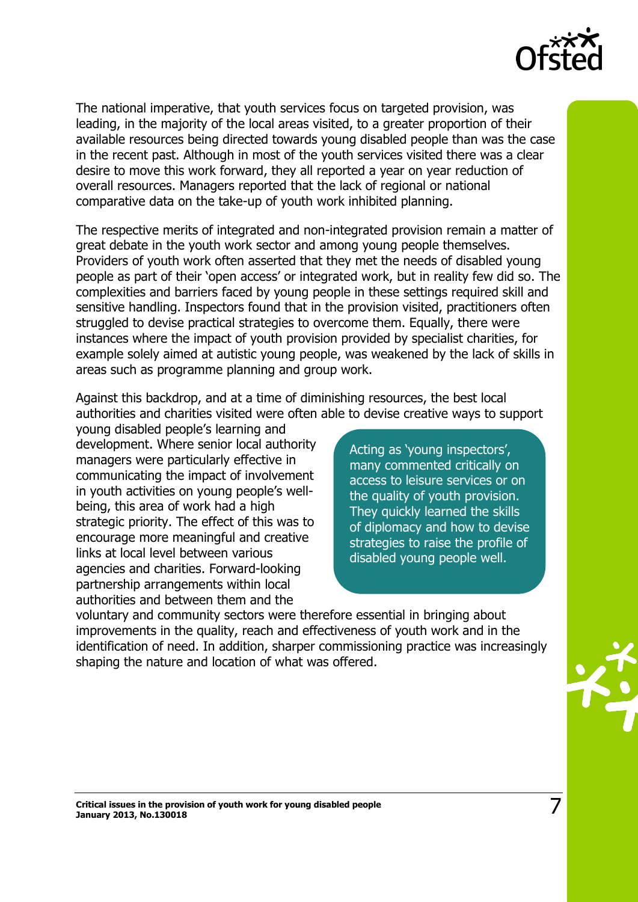

The national imperative, that youth services focus on targeted provision, was leading, in the majority of the local areas visited, to a greater proportion of their available resources being directed towards young disabled people than was the case in the recent past. Although in most of the youth services visited there was a clear desire to move this work forward, they all reported a year on year reduction of overall resources. Managers reported that the lack of regional or national comparative data on the take-up of youth work inhibited planning.

The respective merits of integrated and non-integrated provision remain a matter of great debate in the youth work sector and among young people themselves. Providers of youth work often asserted that they met the needs of disabled young people as part of their 'open access' or integrated work, but in reality few did so. The complexities and barriers faced by young people in these settings required skill and sensitive handling. Inspectors found that in the provision visited, practitioners often struggled to devise practical strategies to overcome them. Equally, there were instances where the impact of youth provision provided by specialist charities, for example solely aimed at autistic young people, was weakened by the lack of skills in areas such as programme planning and group work.

Against this backdrop, and at a time of diminishing resources, the best local authorities and charities visited were often able to devise creative ways to support

young disabled people's learning and development. Where senior local authority managers were particularly effective in communicating the impact of involvement in youth activities on young people's wellbeing, this area of work had a high strategic priority. The effect of this was to encourage more meaningful and creative links at local level between various agencies and charities. Forward-looking partnership arrangements within local authorities and between them and the

Acting as 'young inspectors', many commented critically on access to leisure services or on the quality of youth provision. They quickly learned the skills of diplomacy and how to devise strategies to raise the profile of disabled young people well.

voluntary and community sectors were therefore essential in bringing about improvements in the quality, reach and effectiveness of youth work and in the identification of need. In addition, sharper commissioning practice was increasingly shaping the nature and location of what was offered.

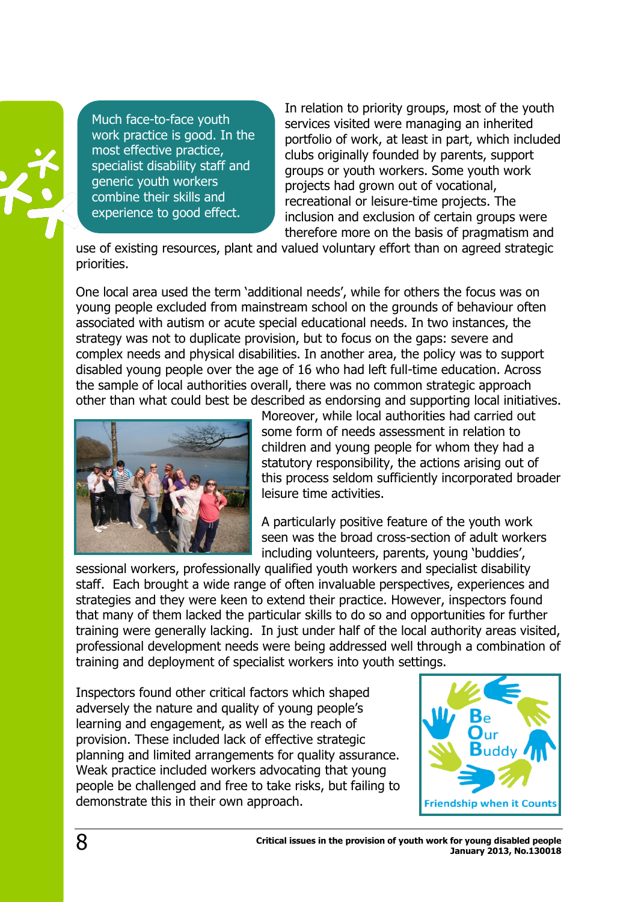

Much face-to-face youth work practice is good. In the most effective practice, specialist disability staff and generic youth workers combine their skills and experience to good effect.

In relation to priority groups, most of the youth services visited were managing an inherited portfolio of work, at least in part, which included clubs originally founded by parents, support groups or youth workers. Some youth work projects had grown out of vocational, recreational or leisure-time projects. The inclusion and exclusion of certain groups were therefore more on the basis of pragmatism and

use of existing resources, plant and valued voluntary effort than on agreed strategic priorities.

One local area used the term 'additional needs', while for others the focus was on young people excluded from mainstream school on the grounds of behaviour often associated with autism or acute special educational needs. In two instances, the strategy was not to duplicate provision, but to focus on the gaps: severe and complex needs and physical disabilities. In another area, the policy was to support disabled young people over the age of 16 who had left full-time education. Across the sample of local authorities overall, there was no common strategic approach other than what could best be described as endorsing and supporting local initiatives.



Moreover, while local authorities had carried out some form of needs assessment in relation to children and young people for whom they had a statutory responsibility, the actions arising out of this process seldom sufficiently incorporated broader leisure time activities.

A particularly positive feature of the youth work seen was the broad cross-section of adult workers including volunteers, parents, young 'buddies',

sessional workers, professionally qualified youth workers and specialist disability staff. Each brought a wide range of often invaluable perspectives, experiences and strategies and they were keen to extend their practice. However, inspectors found that many of them lacked the particular skills to do so and opportunities for further training were generally lacking. In just under half of the local authority areas visited, professional development needs were being addressed well through a combination of training and deployment of specialist workers into youth settings.

Inspectors found other critical factors which shaped adversely the nature and quality of young people's learning and engagement, as well as the reach of provision. These included lack of effective strategic planning and limited arrangements for quality assurance. Weak practice included workers advocating that young people be challenged and free to take risks, but failing to demonstrate this in their own approach.

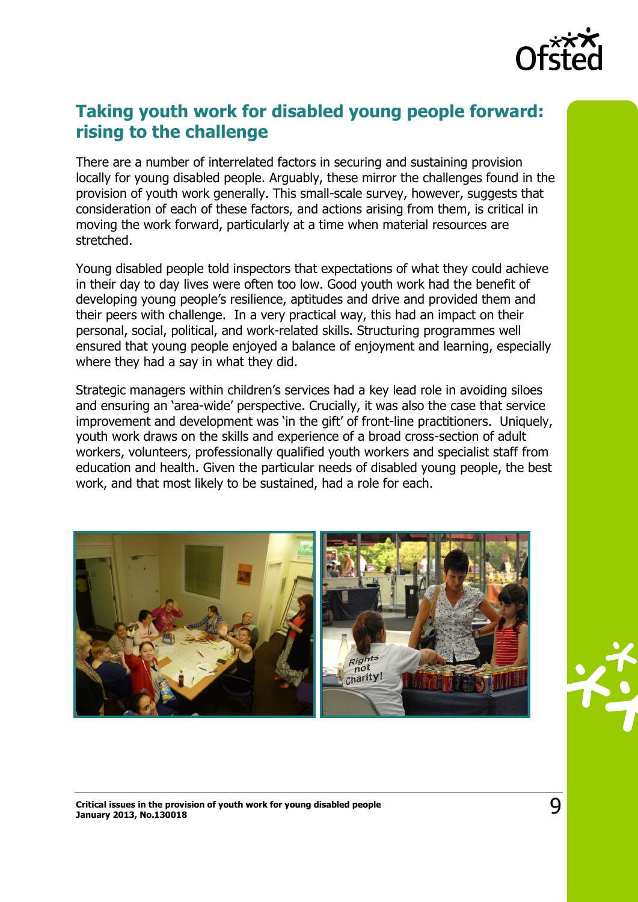

## <span id="page-8-1"></span><span id="page-8-0"></span>**Taking youth work for disabled young people forward: rising to the challenge**

There are a number of interrelated factors in securing and sustaining provision locally for young disabled people. Arguably, these mirror the challenges found in the provision of youth work generally. This small-scale survey, however, suggests that consideration of each of these factors, and actions arising from them, is critical in moving the work forward, particularly at a time when material resources are stretched.

Young disabled people told inspectors that expectations of what they could achieve in their day to day lives were often too low. Good youth work had the benefit of developing young people's resilience, aptitudes and drive and provided them and their peers with challenge. In a very practical way, this had an impact on their personal, social, political, and work-related skills. Structuring programmes well ensured that young people enjoyed a balance of enjoyment and learning, especially where they had a say in what they did.

Strategic managers within children's services had a key lead role in avoiding siloes and ensuring an 'area-wide' perspective. Crucially, it was also the case that service improvement and development was 'in the gift' of front-line practitioners. Uniquely, youth work draws on the skills and experience of a broad cross-section of adult workers, volunteers, professionally qualified youth workers and specialist staff from education and health. Given the particular needs of disabled young people, the best work, and that most likely to be sustained, had a role for each.



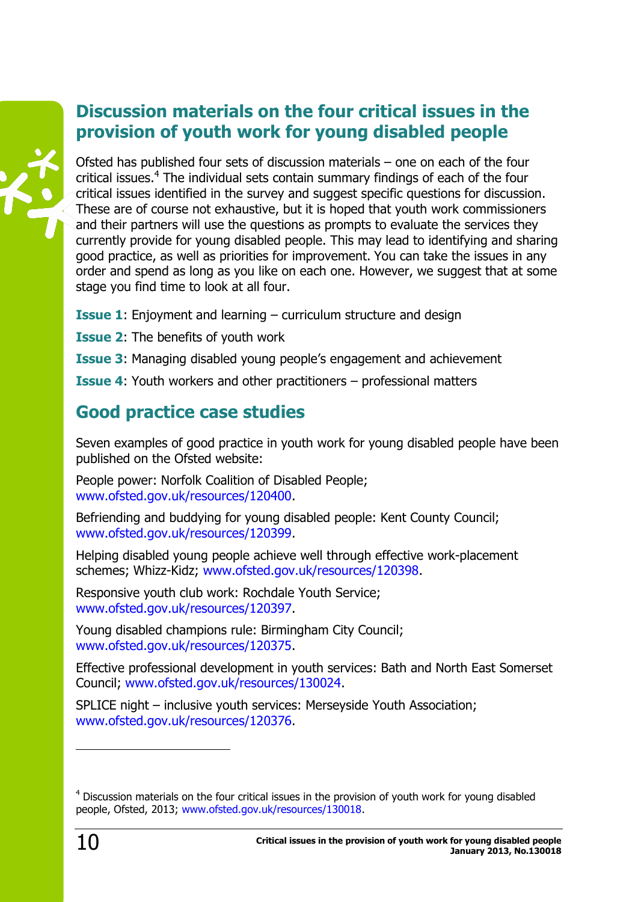# **Discussion materials on the four critical issues in the provision of youth work for young disabled people**

Ofsted has published four sets of discussion materials – one on each of the four critical issues.<sup>4</sup> The individual sets contain summary findings of each of the four critical issues identified in the survey and suggest specific questions for discussion. These are of course not exhaustive, but it is hoped that youth work commissioners and their partners will use the questions as prompts to evaluate the services they currently provide for young disabled people. This may lead to identifying and sharing good practice, as well as priorities for improvement. You can take the issues in any order and spend as long as you like on each one. However, we suggest that at some stage you find time to look at all four.

- **Issue 1**: Enjoyment and learning curriculum structure and design
- **Issue 2**: The benefits of youth work
- **Issue 3**: Managing disabled young people's engagement and achievement
- **Issue 4**: Youth workers and other practitioners professional matters

# <span id="page-9-0"></span>**Good practice case studies**

Seven examples of good practice in youth work for young disabled people have been published on the Ofsted website:

People power: Norfolk Coalition of Disabled People; [www.ofsted.gov.uk/resources/120400.](http://www.ofsted.gov.uk/resources/120400)

Befriending and buddying for young disabled people: Kent County Council; [www.ofsted.gov.uk/resources/120399.](http://www.ofsted.gov.uk/resources/120399)

Helping disabled young people achieve well through effective work-placement schemes; Whizz-Kidz; [www.ofsted.gov.uk/resources/120398.](http://www.ofsted.gov.uk/resources/120398)

Responsive youth club work: Rochdale Youth Service; [www.ofsted.gov.uk/resources/120397.](http://www.ofsted.gov.uk/resources/120397)

Young disabled champions rule: Birmingham City Council; [www.ofsted.gov.uk/resources/120375.](http://www.ofsted.gov.uk/resources/120375)

Effective professional development in youth services: Bath and North East Somerset Council; [www.ofsted.gov.uk/resources/130024.](http://www.ofsted.gov.uk/resources/130024)

SPLICE night – inclusive youth services: Merseyside Youth Association; [www.ofsted.gov.uk/resources/120376.](http://www.ofsted.gov.uk/resources/120376)

 $\overline{a}$ 

<sup>&</sup>lt;sup>4</sup> Discussion materials on the four critical issues in the provision of youth work for young disabled people, Ofsted, 2013; [www.ofsted.gov.uk/resources/130018.](http://www.ofsted.gov.uk/resources/130018)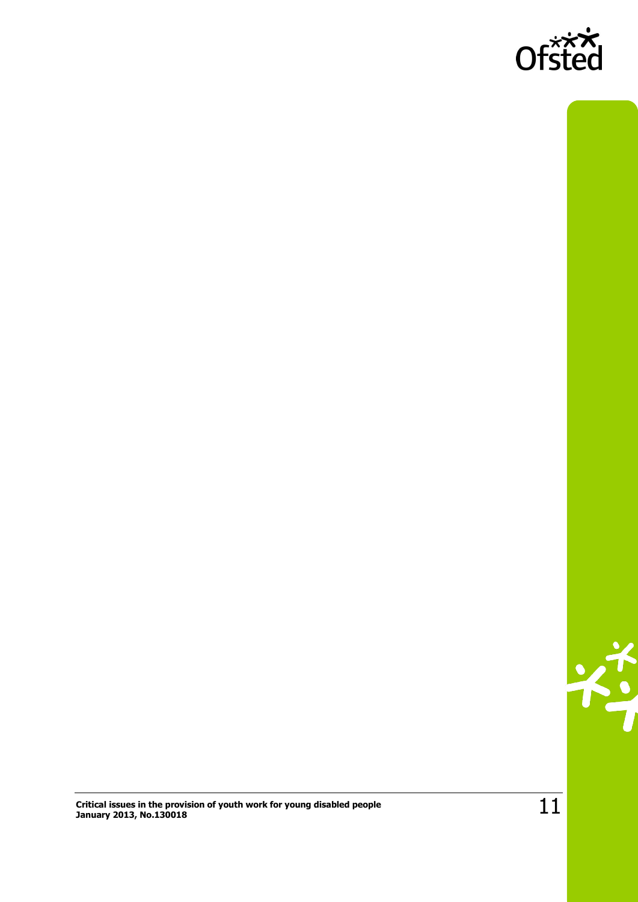